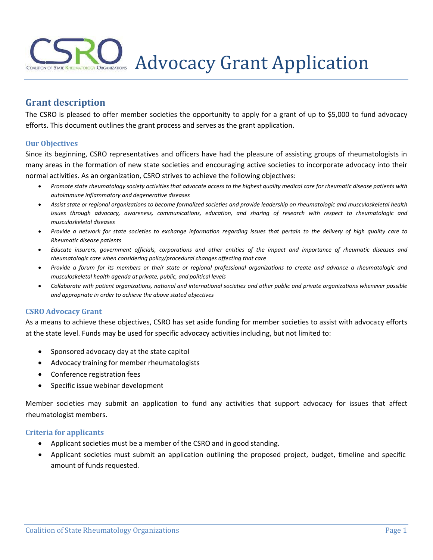# Advocacy Grant Application

# **Grant description**

The CSRO is pleased to offer member societies the opportunity to apply for a grant of up to \$5,000 to fund advocacy efforts. This document outlines the grant process and serves as the grant application.

#### **Our Objectives**

Since its beginning, CSRO representatives and officers have had the pleasure of assisting groups of rheumatologists in many areas in the formation of new state societies and encouraging active societies to incorporate advocacy into their normal activities. As an organization, CSRO strives to achieve the following objectives:

- *Promote state rheumatology society activities that advocate access to the highest quality medical care for rheumatic disease patients with autoimmune inflammatory and degenerative diseases*
- *Assist state or regional organizations to become formalized societies and provide leadership on rheumatologic and musculoskeletal health* issues through advocacy, awareness, communications, education, and sharing of research with respect to rheumatologic and *musculoskeletal diseases*
- *Provide a network for state societies to exchange information regarding issues that pertain to the delivery of high quality care to Rheumatic disease patients*
- Educate insurers, government officials, corporations and other entities of the impact and importance of rheumatic diseases and *rheumatologic care when considering policy/procedural changes affecting that care*
- *Provide a forum for its members or their state or regional professional organizations to create and advance a rheumatologic and musculoskeletal health agenda at private, public, and political levels*
- *Collaborate with patient organizations, national and international societies and other public and private organizations whenever possible and appropriate in order to achieve the above stated objectives*

#### **CSRO Advocacy Grant**

As a means to achieve these objectives, CSRO has set aside funding for member societies to assist with advocacy efforts at the state level. Funds may be used for specific advocacy activities including, but not limited to:

- Sponsored advocacy day at the state capitol
- Advocacy training for member rheumatologists
- Conference registration fees
- Specific issue webinar development

Member societies may submit an application to fund any activities that support advocacy for issues that affect rheumatologist members.

#### **Criteria for applicants**

- Applicant societies must be a member of the CSRO and in good standing.
- Applicant societies must submit an application outlining the proposed project, budget, timeline and specific amount of funds requested.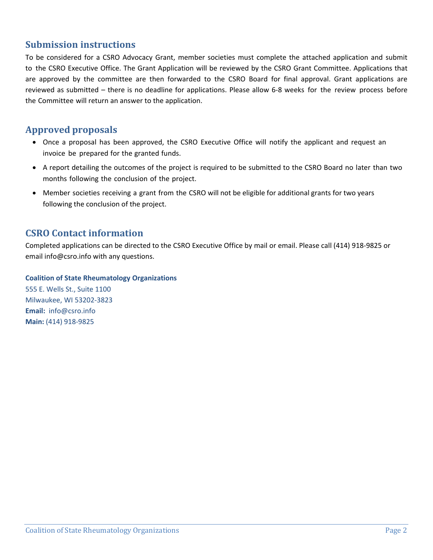## **Submission instructions**

To be considered for a CSRO Advocacy Grant, member societies must complete the attached application and submit to the CSRO Executive Office. The Grant Application will be reviewed by the CSRO Grant Committee. Applications that are approved by the committee are then forwarded to the CSRO Board for final approval. Grant applications are reviewed as submitted – there is no deadline for applications. Please allow 6-8 weeks for the review process before the Committee will return an answer to the application.

## **Approved proposals**

- Once a proposal has been approved, the CSRO Executive Office will notify the applicant and request an invoice be prepared for the granted funds.
- A report detailing the outcomes of the project is required to be submitted to the CSRO Board no later than two months following the conclusion of the project.
- Member societies receiving a grant from the CSRO will not be eligible for additional grants for two years following the conclusion of the project.

## **CSRO Contact information**

Completed applications can be directed to the CSRO Executive Office by mail or email. Please call (414) 918-9825 or email [info@csro.info](mailto:info@csro.info) with any questions.

#### **Coalition of State Rheumatology Organizations**

555 E. Wells St., Suite 1100 Milwaukee, WI 53202-3823 **Email:** [i](mailto:info@csro.info)[nfo@csro.info](mailto:nfo@csro.info) **Main:** (414) 918-9825